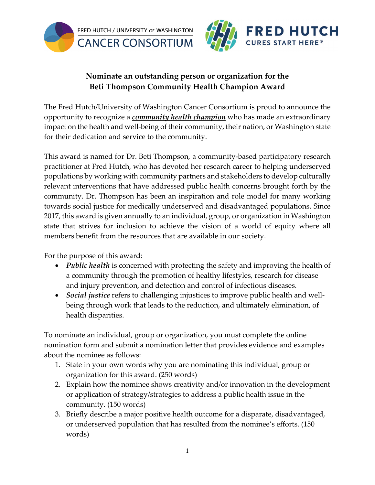



## **Nominate an outstanding person or organization for the Beti Thompson Community Health Champion Award**

The Fred Hutch/University of Washington Cancer Consortium is proud to announce the opportunity to recognize a *community health champion* who has made an extraordinary impact on the health and well-being of their community, their nation, or Washington state for their dedication and service to the community.

This award is named for Dr. Beti Thompson, a community-based participatory research practitioner at Fred Hutch, who has devoted her research career to helping underserved populations by working with community partners and stakeholders to develop culturally relevant interventions that have addressed public health concerns brought forth by the community. Dr. Thompson has been an inspiration and role model for many working towards social justice for medically underserved and disadvantaged populations. Since 2017, this award is given annually to an individual, group, or organization in Washington state that strives for inclusion to achieve the vision of a world of equity where all members benefit from the resources that are available in our society.

For the purpose of this award:

- *Public health* is concerned with protecting the safety and improving the health of a community through the promotion of healthy lifestyles, research for disease and injury prevention, and detection and control of infectious diseases.
- *Social justice* refers to challenging injustices to improve public health and wellbeing through work that leads to the reduction, and ultimately elimination, of health disparities.

To nominate an individual, group or organization, you must complete the online nomination form and submit a nomination letter that provides evidence and examples about the nominee as follows:

- 1. State in your own words why you are nominating this individual, group or organization for this award. (250 words)
- 2. Explain how the nominee shows creativity and/or innovation in the development or application of strategy/strategies to address a public health issue in the community. (150 words)
- 3. Briefly describe a major positive health outcome for a disparate, disadvantaged, or underserved population that has resulted from the nominee's efforts. (150 words)